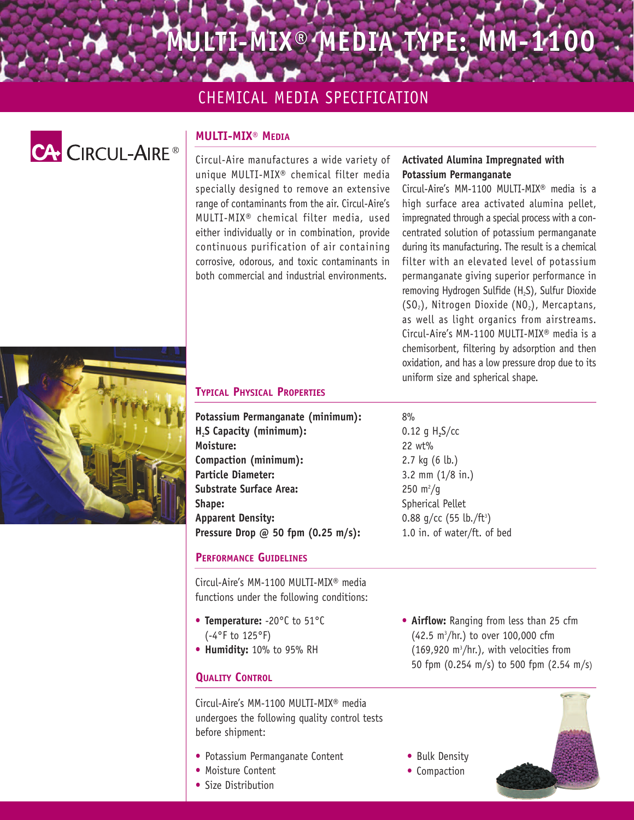# **MULTI-MIX® MEDIA TYPE: MM-1100 MEDIA TYPE: MM-1100**

## CHEMICAL MEDIA SPECIFICATION



## **MULTI-MIX® MEDIA**

Circul-Aire manufactures a wide variety of unique MULTI-MIX® chemical filter media specially designed to remove an extensive range of contaminants from the air. Circul-Aire's MULTI-MIX® chemical filter media, used either individually or in combination, provide continuous purification of air containing corrosive, odorous, and toxic contaminants in both commercial and industrial environments.

## **Activated Alumina Impregnated with Potassium Permanganate**

Circul-Aire's MM-1100 MULTI-MIX® media is a high surface area activated alumina pellet, impregnated through a special process with a concentrated solution of potassium permanganate during its manufacturing. The result is a chemical filter with an elevated level of potassium permanganate giving superior performance in removing Hydrogen Sulfide (H<sub>2</sub>S), Sulfur Dioxide  $(SO<sub>2</sub>)$ , Nitrogen Dioxide (NO<sub>2</sub>), Mercaptans, as well as light organics from airstreams. Circul-Aire's MM-1100 MULTI-MIX® media is a chemisorbent, filtering by adsorption and then oxidation, and has a low pressure drop due to its uniform size and spherical shape.



### **TYPICAL PHYSICAL PROPERTIES**

**Potassium Permanganate (minimum): H2S Capacity (minimum): Moisture: Compaction (minimum): Particle Diameter: Substrate Surface Area: Shape: Apparent Density: Pressure Drop @ 50 fpm (0.25 m/s):**

### **PERFORMANCE GUIDELINES**

Circul-Aire's MM-1100 MULTI-MIX® media functions under the following conditions:

- **Temperature:** -20°C to 51°C (-4°F to 125°F)
- **Humidity:** 10% to 95% RH

## **QUALITY CONTROL**

Circul-Aire's MM-1100 MULTI-MIX® media undergoes the following quality control tests before shipment:

- Potassium Permanganate Content
- Moisture Content
- Size Distribution

• **Airflow:** Ranging from less than 25 cfm (42.5 m3 /hr.) to over 100,000 cfm  $(169,920 \text{ m}^3/\text{hr.})$ , with velocities from 50 fpm (0.254 m/s) to 500 fpm (2.54 m/s)



## 8%

0.12 g H**2**S/cc 22 wt% 2.7 kg (6 lb.) 3.2 mm (1/8 in.)  $250 \; \text{m}^2/\text{g}$ Spherical Pellet 0.88 g/cc (55 lb./ft<sup>3</sup>) 1.0 in. of water/ft. of bed

• Bulk Density • Compaction